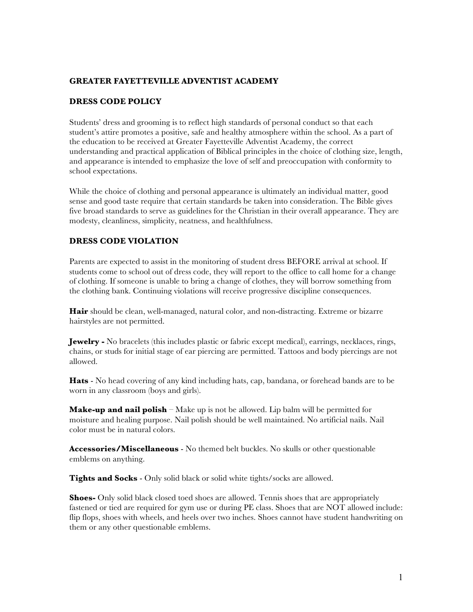# **GREATER FAYETTEVILLE ADVENTIST ACADEMY**

## **DRESS CODE POLICY**

Students' dress and grooming is to reflect high standards of personal conduct so that each student's attire promotes a positive, safe and healthy atmosphere within the school. As a part of the education to be received at Greater Fayetteville Adventist Academy, the correct understanding and practical application of Biblical principles in the choice of clothing size, length, and appearance is intended to emphasize the love of self and preoccupation with conformity to school expectations.

While the choice of clothing and personal appearance is ultimately an individual matter, good sense and good taste require that certain standards be taken into consideration. The Bible gives five broad standards to serve as guidelines for the Christian in their overall appearance. They are modesty, cleanliness, simplicity, neatness, and healthfulness.

## **DRESS CODE VIOLATION**

Parents are expected to assist in the monitoring of student dress BEFORE arrival at school. If students come to school out of dress code, they will report to the office to call home for a change of clothing. If someone is unable to bring a change of clothes, they will borrow something from the clothing bank. Continuing violations will receive progressive discipline consequences.

**Hair** should be clean, well-managed, natural color, and non-distracting. Extreme or bizarre hairstyles are not permitted.

**Jewelry -** No bracelets (this includes plastic or fabric except medical), earrings, necklaces, rings, chains, or studs for initial stage of ear piercing are permitted. Tattoos and body piercings are not allowed.

**Hats** - No head covering of any kind including hats, cap, bandana, or forehead bands are to be worn in any classroom (boys and girls).

**Make-up and nail polish** – Make up is not be allowed. Lip balm will be permitted for moisture and healing purpose. Nail polish should be well maintained. No artificial nails. Nail color must be in natural colors.

**Accessories/Miscellaneous** - No themed belt buckles. No skulls or other questionable emblems on anything.

**Tights and Socks** - Only solid black or solid white tights/socks are allowed.

**Shoes-** Only solid black closed toed shoes are allowed. Tennis shoes that are appropriately fastened or tied are required for gym use or during PE class. Shoes that are NOT allowed include: flip flops, shoes with wheels, and heels over two inches. Shoes cannot have student handwriting on them or any other questionable emblems.